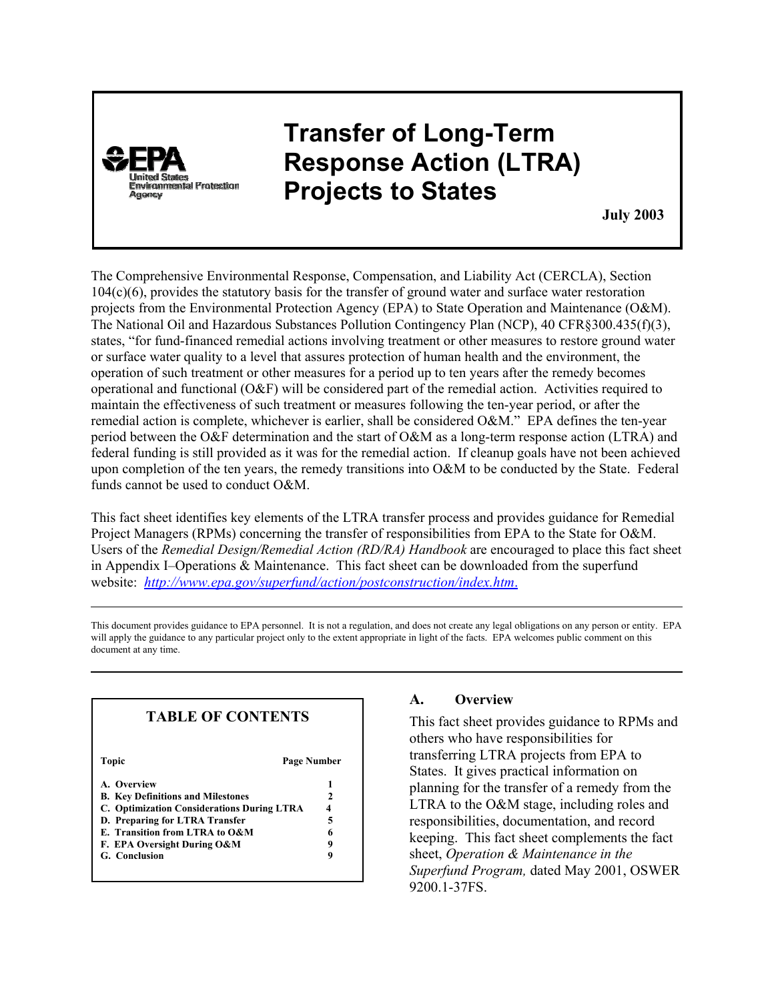

# **Transfer of Long-Term Response Action (LTRA) Projects to States**

**July 2003**

The Comprehensive Environmental Response, Compensation, and Liability Act (CERCLA), Section 104(c)(6), provides the statutory basis for the transfer of ground water and surface water restoration projects from the Environmental Protection Agency (EPA) to State Operation and Maintenance (O&M). The National Oil and Hazardous Substances Pollution Contingency Plan (NCP), 40 CFR§300.435(f)(3), states, "for fund-financed remedial actions involving treatment or other measures to restore ground water or surface water quality to a level that assures protection of human health and the environment, the operation of such treatment or other measures for a period up to ten years after the remedy becomes operational and functional (O&F) will be considered part of the remedial action. Activities required to maintain the effectiveness of such treatment or measures following the ten-year period, or after the remedial action is complete, whichever is earlier, shall be considered O&M." EPA defines the ten-year period between the O&F determination and the start of O&M as a long-term response action (LTRA) and federal funding is still provided as it was for the remedial action. If cleanup goals have not been achieved upon completion of the ten years, the remedy transitions into O&M to be conducted by the State. Federal funds cannot be used to conduct O&M.

This fact sheet identifies key elements of the LTRA transfer process and provides guidance for Remedial Project Managers (RPMs) concerning the transfer of responsibilities from EPA to the State for O&M. Users of the *Remedial Design/Remedial Action (RD/RA) Handbook* are encouraged to place this fact sheet in Appendix I-Operations  $& Maintenance$ . This fact sheet can be downloaded from the superfund website: *http://www.epa.gov/superfund/action/postconstruction/index.htm*.

This document provides guidance to EPA personnel. It is not a regulation, and does not create any legal obligations on any person or entity. EPA will apply the guidance to any particular project only to the extent appropriate in light of the facts. EPA welcomes public comment on this document at any time.

| <b>TABLE OF CONTENTS</b>                          |   |
|---------------------------------------------------|---|
| Topic<br>Page Number                              |   |
| A. Overview                                       | 1 |
| <b>B.</b> Key Definitions and Milestones          |   |
| <b>C. Optimization Considerations During LTRA</b> |   |
| D. Preparing for LTRA Transfer                    |   |
| E. Transition from LTRA to O&M                    |   |
| F. EPA Oversight During O&M                       | q |
| G. Conclusion                                     | 9 |

# **A. Overview**

This fact sheet provides guidance to RPMs and others who have responsibilities for transferring LTRA projects from EPA to States. It gives practical information on planning for the transfer of a remedy from the LTRA to the O&M stage, including roles and responsibilities, documentation, and record keeping. This fact sheet complements the fact sheet, *Operation & Maintenance in the Superfund Program,* dated May 2001, OSWER 9200.1-37FS.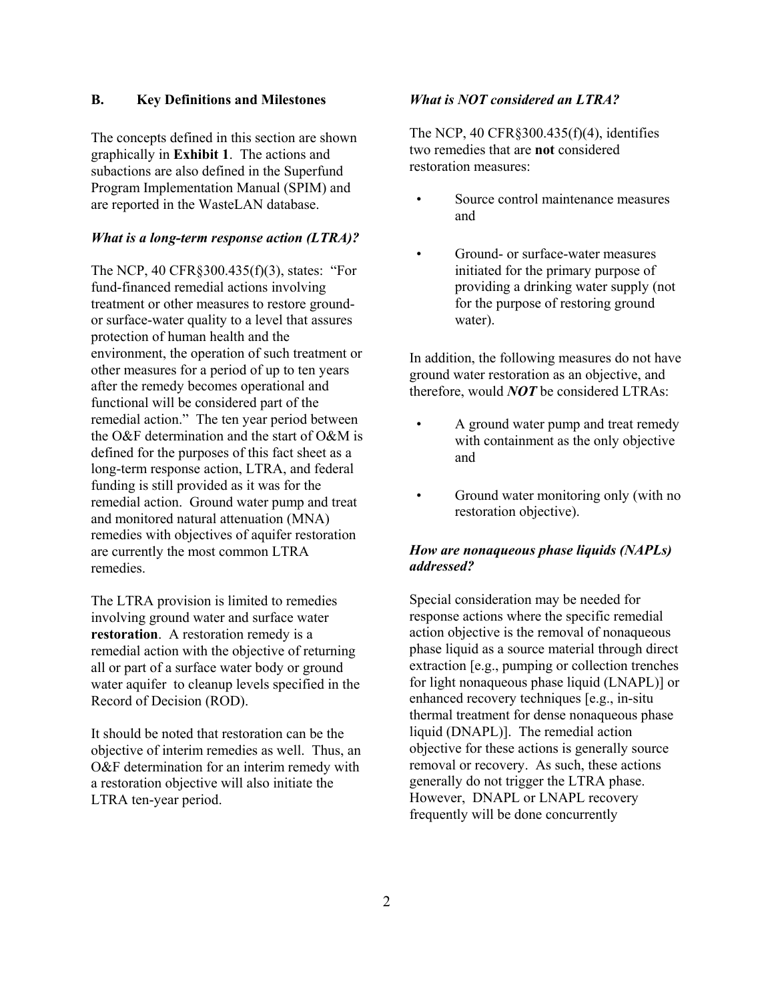# **B. Key Definitions and Milestones**

The concepts defined in this section are shown graphically in **Exhibit 1**. The actions and subactions are also defined in the Superfund Program Implementation Manual (SPIM) and are reported in the WasteLAN database.

# *What is a long-term response action (LTRA)?*

The NCP, 40 CFR§300.435(f)(3), states: "For fund-financed remedial actions involving treatment or other measures to restore groundor surface-water quality to a level that assures protection of human health and the environment, the operation of such treatment or other measures for a period of up to ten years after the remedy becomes operational and functional will be considered part of the remedial action." The ten year period between the O&F determination and the start of O&M is defined for the purposes of this fact sheet as a long-term response action, LTRA, and federal funding is still provided as it was for the remedial action. Ground water pump and treat and monitored natural attenuation (MNA) remedies with objectives of aquifer restoration are currently the most common LTRA remedies.

The LTRA provision is limited to remedies involving ground water and surface water **restoration**. A restoration remedy is a remedial action with the objective of returning all or part of a surface water body or ground water aquifer to cleanup levels specified in the Record of Decision (ROD).

It should be noted that restoration can be the objective of interim remedies as well. Thus, an O&F determination for an interim remedy with a restoration objective will also initiate the LTRA ten-year period.

## *What is NOT considered an LTRA?*

The NCP, 40 CFR§300.435(f)(4), identifies two remedies that are **not** considered restoration measures:

- Source control maintenance measures and
- Ground- or surface-water measures initiated for the primary purpose of providing a drinking water supply (not for the purpose of restoring ground water).

In addition, the following measures do not have ground water restoration as an objective, and therefore, would *NOT* be considered LTRAs:

- A ground water pump and treat remedy with containment as the only objective and
- Ground water monitoring only (with no restoration objective).

# *How are nonaqueous phase liquids (NAPLs) addressed?*

Special consideration may be needed for response actions where the specific remedial action objective is the removal of nonaqueous phase liquid as a source material through direct extraction [e.g., pumping or collection trenches for light nonaqueous phase liquid (LNAPL)] or enhanced recovery techniques [e.g., in-situ thermal treatment for dense nonaqueous phase liquid (DNAPL)]. The remedial action objective for these actions is generally source removal or recovery. As such, these actions generally do not trigger the LTRA phase. However, DNAPL or LNAPL recovery frequently will be done concurrently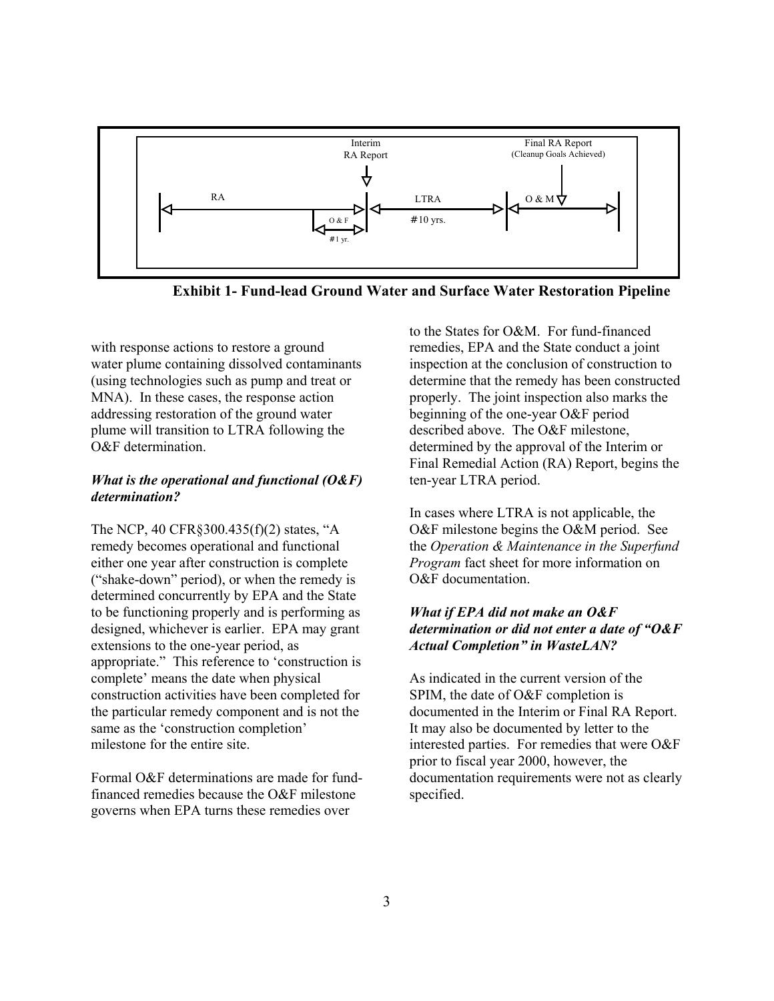

**Exhibit 1- Fund-lead Ground Water and Surface Water Restoration Pipeline** 

with response actions to restore a ground water plume containing dissolved contaminants (using technologies such as pump and treat or MNA). In these cases, the response action addressing restoration of the ground water plume will transition to LTRA following the O&F determination.

# *What is the operational and functional (O&F) determination?*

The NCP, 40 CFR§300.435(f)(2) states, "A remedy becomes operational and functional either one year after construction is complete ("shake-down" period), or when the remedy is determined concurrently by EPA and the State to be functioning properly and is performing as designed, whichever is earlier. EPA may grant extensions to the one-year period, as appropriate." This reference to 'construction is complete' means the date when physical construction activities have been completed for the particular remedy component and is not the same as the 'construction completion' milestone for the entire site.

Formal O&F determinations are made for fundfinanced remedies because the O&F milestone governs when EPA turns these remedies over

to the States for O&M. For fund-financed remedies, EPA and the State conduct a joint inspection at the conclusion of construction to determine that the remedy has been constructed properly. The joint inspection also marks the beginning of the one-year O&F period described above. The O&F milestone, determined by the approval of the Interim or Final Remedial Action (RA) Report, begins the ten-year LTRA period.

In cases where LTRA is not applicable, the O&F milestone begins the O&M period. See the *Operation & Maintenance in the Superfund Program* fact sheet for more information on O&F documentation.

# *What if EPA did not make an O&F determination or did not enter a date of "O&F Actual Completion" in WasteLAN?*

As indicated in the current version of the SPIM, the date of O&F completion is documented in the Interim or Final RA Report. It may also be documented by letter to the interested parties. For remedies that were O&F prior to fiscal year 2000, however, the documentation requirements were not as clearly specified.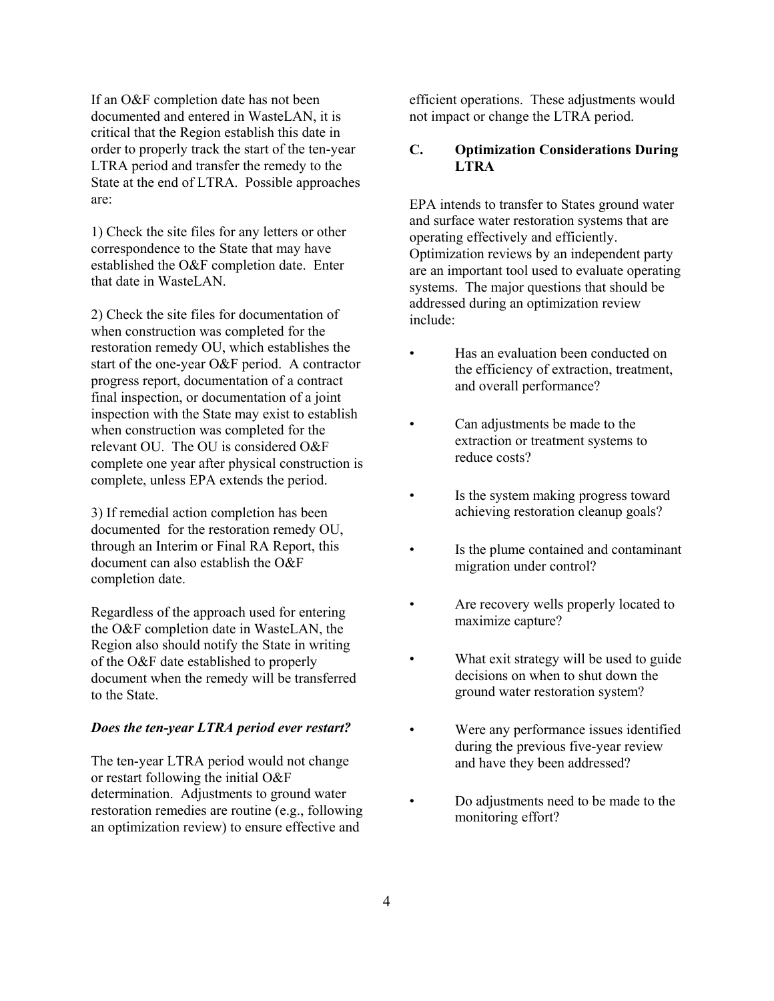If an O&F completion date has not been documented and entered in WasteLAN, it is critical that the Region establish this date in order to properly track the start of the ten-year LTRA period and transfer the remedy to the State at the end of LTRA. Possible approaches are:

1) Check the site files for any letters or other correspondence to the State that may have established the O&F completion date. Enter that date in Wastel AN

2) Check the site files for documentation of when construction was completed for the restoration remedy OU, which establishes the start of the one-year O&F period. A contractor progress report, documentation of a contract final inspection, or documentation of a joint inspection with the State may exist to establish when construction was completed for the relevant OU. The OU is considered O&F complete one year after physical construction is complete, unless EPA extends the period.

3) If remedial action completion has been documented for the restoration remedy OU, through an Interim or Final RA Report, this document can also establish the O&F completion date.

Regardless of the approach used for entering the O&F completion date in WasteLAN, the Region also should notify the State in writing of the O&F date established to properly document when the remedy will be transferred to the State.

#### *Does the ten-year LTRA period ever restart?*

The ten-year LTRA period would not change or restart following the initial O&F determination. Adjustments to ground water restoration remedies are routine (e.g., following an optimization review) to ensure effective and

efficient operations. These adjustments would not impact or change the LTRA period.

# **C. Optimization Considerations During LTRA**

EPA intends to transfer to States ground water and surface water restoration systems that are operating effectively and efficiently. Optimization reviews by an independent party are an important tool used to evaluate operating systems. The major questions that should be addressed during an optimization review include:

- Has an evaluation been conducted on the efficiency of extraction, treatment, and overall performance?
- Can adjustments be made to the extraction or treatment systems to reduce costs?
- Is the system making progress toward achieving restoration cleanup goals?
- Is the plume contained and contaminant migration under control?
- Are recovery wells properly located to maximize capture?
- What exit strategy will be used to guide decisions on when to shut down the ground water restoration system?
- Were any performance issues identified during the previous five-year review and have they been addressed?
	- Do adjustments need to be made to the monitoring effort?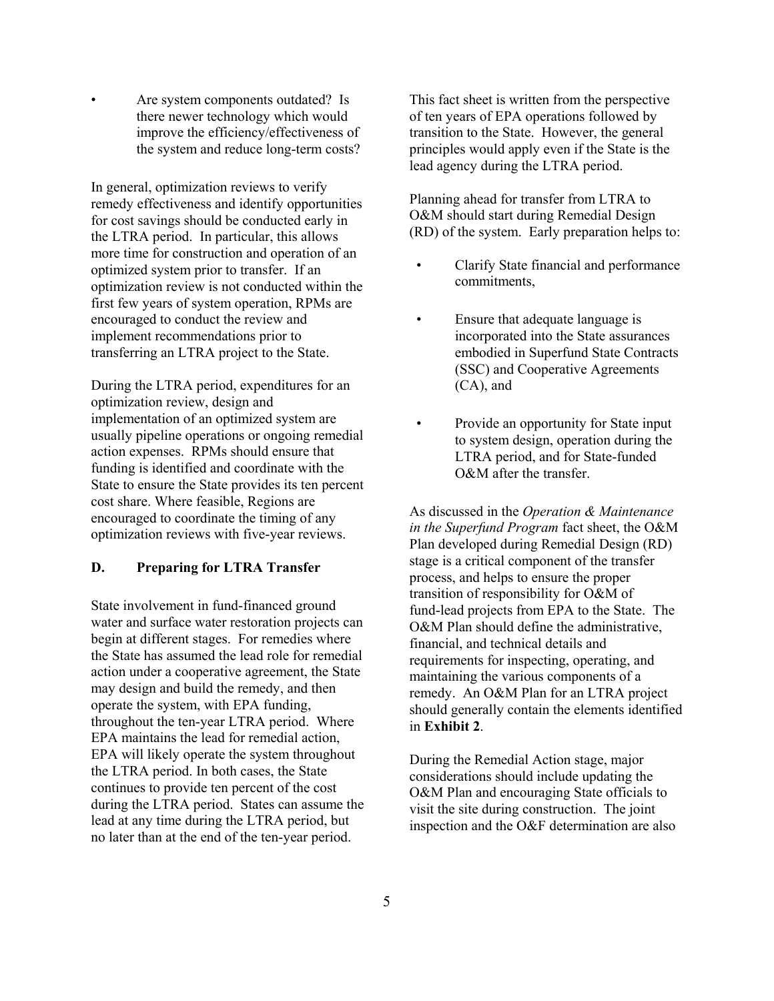Are system components outdated? Is there newer technology which would improve the efficiency/effectiveness of the system and reduce long-term costs?

In general, optimization reviews to verify remedy effectiveness and identify opportunities for cost savings should be conducted early in the LTRA period. In particular, this allows more time for construction and operation of an optimized system prior to transfer. If an optimization review is not conducted within the first few years of system operation, RPMs are encouraged to conduct the review and implement recommendations prior to transferring an LTRA project to the State.

During the LTRA period, expenditures for an optimization review, design and implementation of an optimized system are usually pipeline operations or ongoing remedial action expenses. RPMs should ensure that funding is identified and coordinate with the State to ensure the State provides its ten percent cost share. Where feasible, Regions are encouraged to coordinate the timing of any optimization reviews with five-year reviews.

#### **D. Preparing for LTRA Transfer**

State involvement in fund-financed ground water and surface water restoration projects can begin at different stages. For remedies where the State has assumed the lead role for remedial action under a cooperative agreement, the State may design and build the remedy, and then operate the system, with EPA funding, throughout the ten-year LTRA period. Where EPA maintains the lead for remedial action, EPA will likely operate the system throughout the LTRA period. In both cases, the State continues to provide ten percent of the cost during the LTRA period. States can assume the lead at any time during the LTRA period, but no later than at the end of the ten-year period.

This fact sheet is written from the perspective of ten years of EPA operations followed by transition to the State. However, the general principles would apply even if the State is the lead agency during the LTRA period.

Planning ahead for transfer from LTRA to O&M should start during Remedial Design (RD) of the system. Early preparation helps to:

- Clarify State financial and performance commitments,
- Ensure that adequate language is incorporated into the State assurances embodied in Superfund State Contracts (SSC) and Cooperative Agreements (CA), and
	- Provide an opportunity for State input to system design, operation during the LTRA period, and for State-funded O&M after the transfer.

As discussed in the *Operation & Maintenance in the Superfund Program* fact sheet, the O&M Plan developed during Remedial Design (RD) stage is a critical component of the transfer process, and helps to ensure the proper transition of responsibility for O&M of fund-lead projects from EPA to the State. The O&M Plan should define the administrative, financial, and technical details and requirements for inspecting, operating, and maintaining the various components of a remedy. An O&M Plan for an LTRA project should generally contain the elements identified in **Exhibit 2**.

During the Remedial Action stage, major considerations should include updating the O&M Plan and encouraging State officials to visit the site during construction. The joint inspection and the O&F determination are also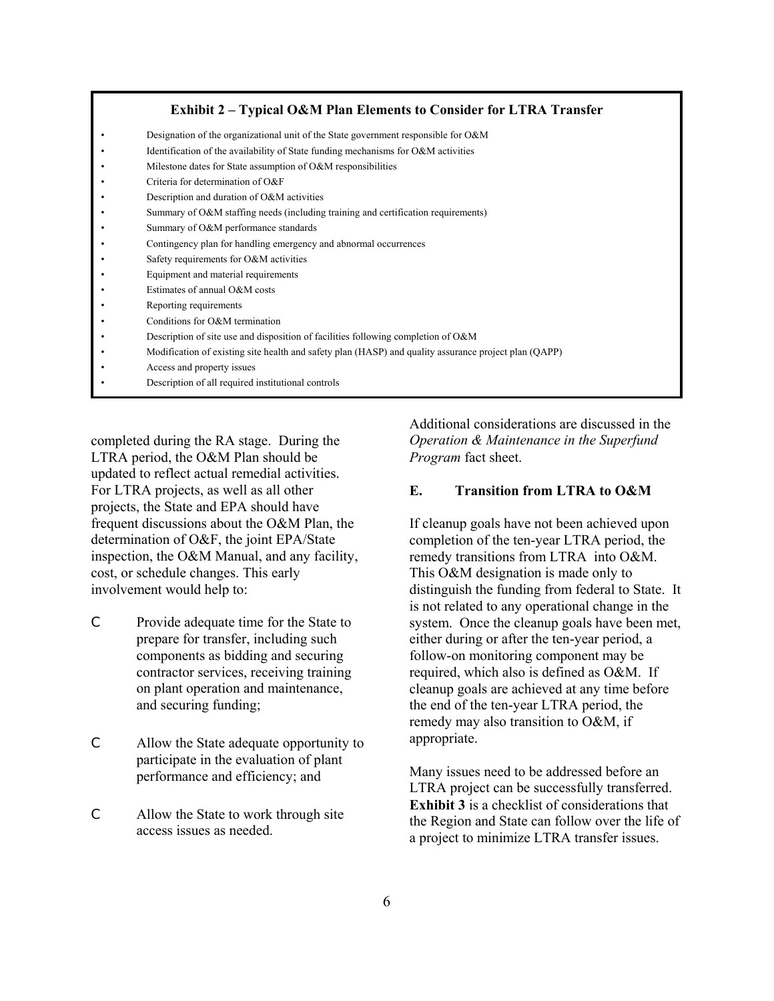#### **Exhibit 2 – Typical O&M Plan Elements to Consider for LTRA Transfer**

- Designation of the organizational unit of the State government responsible for O&M
- Identification of the availability of State funding mechanisms for O&M activities
- Milestone dates for State assumption of O&M responsibilities
- Criteria for determination of O&F
- Description and duration of O&M activities
- Summary of O&M staffing needs (including training and certification requirements)
- Summary of O&M performance standards
- Contingency plan for handling emergency and abnormal occurrences
- Safety requirements for O&M activities
- Equipment and material requirements
- Estimates of annual O&M costs
- Reporting requirements
- Conditions for O&M termination
- Description of site use and disposition of facilities following completion of O&M
- Modification of existing site health and safety plan (HASP) and quality assurance project plan (QAPP)
- Access and property issues
- Description of all required institutional controls

completed during the RA stage. During the LTRA period, the O&M Plan should be updated to reflect actual remedial activities. For LTRA projects, as well as all other projects, the State and EPA should have frequent discussions about the O&M Plan, the determination of O&F, the joint EPA/State inspection, the O&M Manual, and any facility, cost, or schedule changes. This early involvement would help to:

- C Provide adequate time for the State to prepare for transfer, including such components as bidding and securing contractor services, receiving training on plant operation and maintenance, and securing funding;
- C Allow the State adequate opportunity to participate in the evaluation of plant performance and efficiency; and
- C Allow the State to work through site access issues as needed.

Additional considerations are discussed in the *Operation & Maintenance in the Superfund Program* fact sheet.

## **E. Transition from LTRA to O&M**

If cleanup goals have not been achieved upon completion of the ten-year LTRA period, the remedy transitions from LTRA into O&M. This O&M designation is made only to distinguish the funding from federal to State. It is not related to any operational change in the system. Once the cleanup goals have been met, either during or after the ten-year period, a follow-on monitoring component may be required, which also is defined as O&M. If cleanup goals are achieved at any time before the end of the ten-year LTRA period, the remedy may also transition to O&M, if appropriate.

Many issues need to be addressed before an LTRA project can be successfully transferred. **Exhibit 3** is a checklist of considerations that the Region and State can follow over the life of a project to minimize LTRA transfer issues.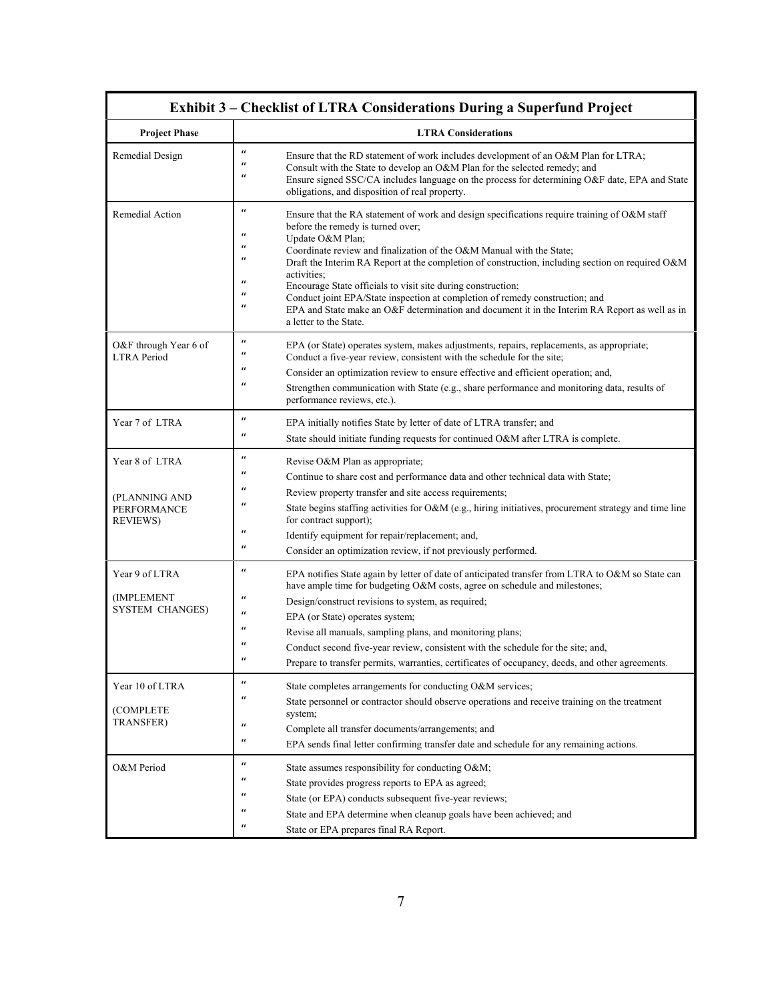| <b>Exhibit 3 – Checklist of LTRA Considerations During a Superfund Project</b> |                                                                                                                                                                                                                                                                                                                                                                                                                                                                                                                                                                                                                                                                                                                                                                  |  |
|--------------------------------------------------------------------------------|------------------------------------------------------------------------------------------------------------------------------------------------------------------------------------------------------------------------------------------------------------------------------------------------------------------------------------------------------------------------------------------------------------------------------------------------------------------------------------------------------------------------------------------------------------------------------------------------------------------------------------------------------------------------------------------------------------------------------------------------------------------|--|
| <b>Project Phase</b>                                                           | <b>LTRA Considerations</b>                                                                                                                                                                                                                                                                                                                                                                                                                                                                                                                                                                                                                                                                                                                                       |  |
| Remedial Design                                                                | $\boldsymbol{u}$<br>Ensure that the RD statement of work includes development of an O&M Plan for LTRA;<br>$\boldsymbol{u}$<br>Consult with the State to develop an O&M Plan for the selected remedy; and<br>$\boldsymbol{u}$<br>Ensure signed SSC/CA includes language on the process for determining O&F date, EPA and State<br>obligations, and disposition of real property.                                                                                                                                                                                                                                                                                                                                                                                  |  |
| Remedial Action                                                                | $\boldsymbol{u}$<br>Ensure that the RA statement of work and design specifications require training of O&M staff<br>before the remedy is turned over;<br>$\boldsymbol{u}$<br>Update O&M Plan;<br>$\boldsymbol{u}$<br>Coordinate review and finalization of the O&M Manual with the State;<br>$\boldsymbol{u}$<br>Draft the Interim RA Report at the completion of construction, including section on required O&M<br>activities;<br>$\mathbf{u}$<br>Encourage State officials to visit site during construction;<br>$\mathbf{u}$<br>Conduct joint EPA/State inspection at completion of remedy construction; and<br>$\boldsymbol{u}$<br>EPA and State make an O&F determination and document it in the Interim RA Report as well as in<br>a letter to the State. |  |
| O&F through Year 6 of<br><b>LTRA</b> Period                                    | $\boldsymbol{u}$<br>EPA (or State) operates system, makes adjustments, repairs, replacements, as appropriate;<br>$\boldsymbol{u}$<br>Conduct a five-year review, consistent with the schedule for the site;<br>$\boldsymbol{u}$<br>Consider an optimization review to ensure effective and efficient operation; and,<br>$\boldsymbol{u}$<br>Strengthen communication with State (e.g., share performance and monitoring data, results of<br>performance reviews, etc.).                                                                                                                                                                                                                                                                                          |  |
| Year 7 of LTRA                                                                 | $\boldsymbol{u}$<br>EPA initially notifies State by letter of date of LTRA transfer; and<br>$\boldsymbol{u}$<br>State should initiate funding requests for continued O&M after LTRA is complete.                                                                                                                                                                                                                                                                                                                                                                                                                                                                                                                                                                 |  |
| Year 8 of LTRA<br>(PLANNING AND<br><b>PERFORMANCE</b><br><b>REVIEWS</b>        | $\boldsymbol{u}$<br>Revise O&M Plan as appropriate;<br>$\boldsymbol{u}$<br>Continue to share cost and performance data and other technical data with State;<br>$\boldsymbol{u}$<br>Review property transfer and site access requirements;<br>$\boldsymbol{u}$<br>State begins staffing activities for O&M (e.g., hiring initiatives, procurement strategy and time line<br>for contract support);<br>$\boldsymbol{u}$<br>Identify equipment for repair/replacement; and,<br>$\boldsymbol{u}$<br>Consider an optimization review, if not previously performed.                                                                                                                                                                                                    |  |
| Year 9 of LTRA<br>(IMPLEMENT<br><b>SYSTEM CHANGES)</b>                         | $\boldsymbol{u}$<br>EPA notifies State again by letter of date of anticipated transfer from LTRA to O&M so State can<br>have ample time for budgeting O&M costs, agree on schedule and milestones;<br>$\boldsymbol{u}$<br>Design/construct revisions to system, as required;<br>$\boldsymbol{u}$<br>EPA (or State) operates system;<br>$\boldsymbol{u}$<br>Revise all manuals, sampling plans, and monitoring plans;<br>Conduct second five-year review, consistent with the schedule for the site; and,<br>Prepare to transfer permits, warranties, certificates of occupancy, deeds, and other agreements.                                                                                                                                                     |  |
| Year 10 of LTRA<br>(COMPLETE<br><b>TRANSFER)</b>                               | $\boldsymbol{u}$<br>State completes arrangements for conducting O&M services;<br>$\boldsymbol{u}$<br>State personnel or contractor should observe operations and receive training on the treatment<br>system;<br>$\boldsymbol{u}$<br>Complete all transfer documents/arrangements; and<br>$\boldsymbol{u}$<br>EPA sends final letter confirming transfer date and schedule for any remaining actions.                                                                                                                                                                                                                                                                                                                                                            |  |
| O&M Period                                                                     | $\boldsymbol{u}$<br>State assumes responsibility for conducting O&M<br>$\boldsymbol{u}$<br>State provides progress reports to EPA as agreed;<br>$\boldsymbol{u}$<br>State (or EPA) conducts subsequent five-year reviews;<br>$\boldsymbol{u}$<br>State and EPA determine when cleanup goals have been achieved; and<br>$\boldsymbol{u}$<br>State or EPA prepares final RA Report.                                                                                                                                                                                                                                                                                                                                                                                |  |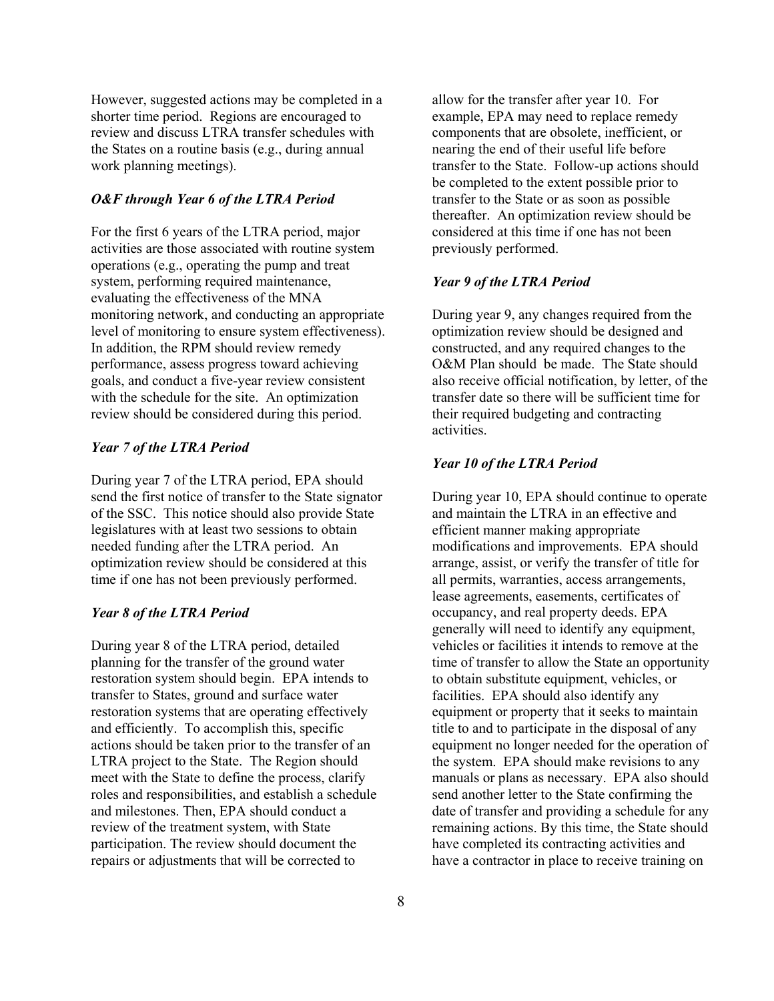However, suggested actions may be completed in a shorter time period. Regions are encouraged to review and discuss LTRA transfer schedules with the States on a routine basis (e.g., during annual work planning meetings).

## *O&F through Year 6 of the LTRA Period*

For the first 6 years of the LTRA period, major activities are those associated with routine system operations (e.g., operating the pump and treat system, performing required maintenance, evaluating the effectiveness of the MNA monitoring network, and conducting an appropriate level of monitoring to ensure system effectiveness). In addition, the RPM should review remedy performance, assess progress toward achieving goals, and conduct a five-year review consistent with the schedule for the site. An optimization review should be considered during this period.

#### *Year 7 of the LTRA Period*

During year 7 of the LTRA period, EPA should send the first notice of transfer to the State signator of the SSC. This notice should also provide State legislatures with at least two sessions to obtain needed funding after the LTRA period. An optimization review should be considered at this time if one has not been previously performed.

#### *Year 8 of the LTRA Period*

During year 8 of the LTRA period, detailed planning for the transfer of the ground water restoration system should begin. EPA intends to transfer to States, ground and surface water restoration systems that are operating effectively and efficiently. To accomplish this, specific actions should be taken prior to the transfer of an LTRA project to the State. The Region should meet with the State to define the process, clarify roles and responsibilities, and establish a schedule and milestones. Then, EPA should conduct a review of the treatment system, with State participation. The review should document the repairs or adjustments that will be corrected to

allow for the transfer after year 10. For example, EPA may need to replace remedy components that are obsolete, inefficient, or nearing the end of their useful life before transfer to the State. Follow-up actions should be completed to the extent possible prior to transfer to the State or as soon as possible thereafter. An optimization review should be considered at this time if one has not been previously performed.

#### *Year 9 of the LTRA Period*

During year 9, any changes required from the optimization review should be designed and constructed, and any required changes to the O&M Plan should be made. The State should also receive official notification, by letter, of the transfer date so there will be sufficient time for their required budgeting and contracting activities.

#### *Year 10 of the LTRA Period*

During year 10, EPA should continue to operate and maintain the LTRA in an effective and efficient manner making appropriate modifications and improvements. EPA should arrange, assist, or verify the transfer of title for all permits, warranties, access arrangements, lease agreements, easements, certificates of occupancy, and real property deeds. EPA generally will need to identify any equipment, vehicles or facilities it intends to remove at the time of transfer to allow the State an opportunity to obtain substitute equipment, vehicles, or facilities. EPA should also identify any equipment or property that it seeks to maintain title to and to participate in the disposal of any equipment no longer needed for the operation of the system. EPA should make revisions to any manuals or plans as necessary. EPA also should send another letter to the State confirming the date of transfer and providing a schedule for any remaining actions. By this time, the State should have completed its contracting activities and have a contractor in place to receive training on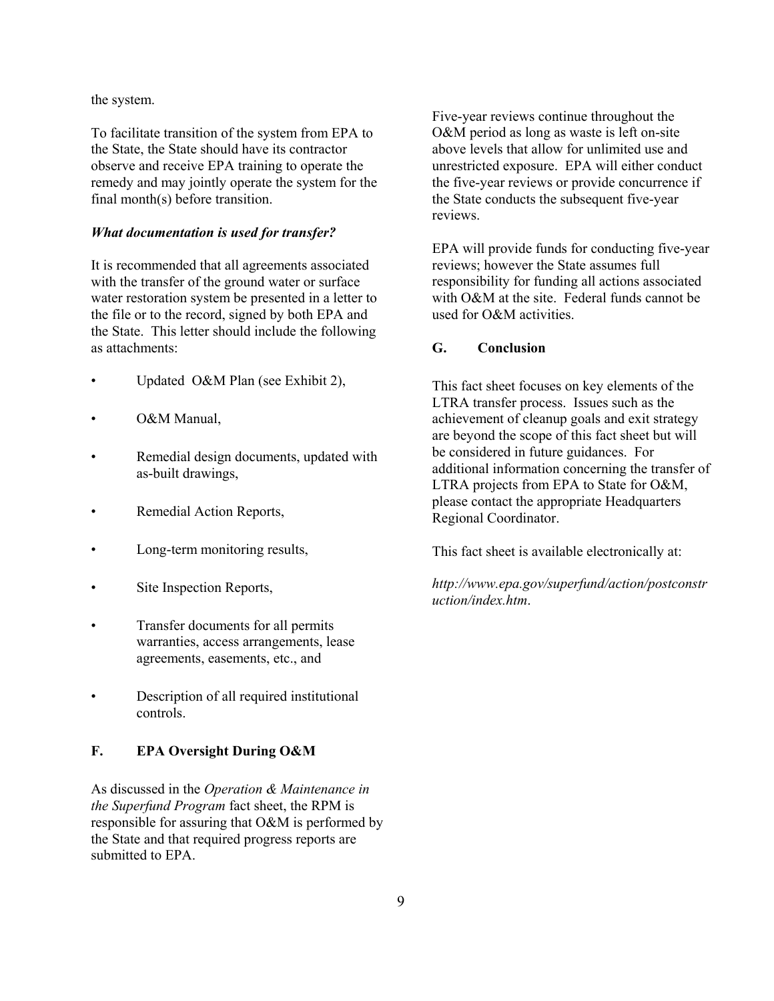the system.

To facilitate transition of the system from EPA to the State, the State should have its contractor observe and receive EPA training to operate the remedy and may jointly operate the system for the final month(s) before transition.

## *What documentation is used for transfer?*

It is recommended that all agreements associated with the transfer of the ground water or surface water restoration system be presented in a letter to the file or to the record, signed by both EPA and the State. This letter should include the following as attachments:

- Updated O&M Plan (see Exhibit 2),
- O&M Manual,
- Remedial design documents, updated with as-built drawings,
- Remedial Action Reports,
- Long-term monitoring results,
- Site Inspection Reports,
- Transfer documents for all permits warranties, access arrangements, lease agreements, easements, etc., and
- Description of all required institutional controls.

# **F. EPA Oversight During O&M**

As discussed in the *Operation & Maintenance in the Superfund Program* fact sheet, the RPM is responsible for assuring that O&M is performed by the State and that required progress reports are submitted to EPA.

Five-year reviews continue throughout the O&M period as long as waste is left on-site above levels that allow for unlimited use and unrestricted exposure. EPA will either conduct the five-year reviews or provide concurrence if the State conducts the subsequent five-year reviews.

EPA will provide funds for conducting five-year reviews; however the State assumes full responsibility for funding all actions associated with O&M at the site. Federal funds cannot be used for O&M activities.

# **G. Conclusion**

This fact sheet focuses on key elements of the LTRA transfer process. Issues such as the achievement of cleanup goals and exit strategy are beyond the scope of this fact sheet but will be considered in future guidances. For additional information concerning the transfer of LTRA projects from EPA to State for O&M, please contact the appropriate Headquarters Regional Coordinator.

This fact sheet is available electronically at:

*http://www.epa.gov/superfund/action/postconstr uction/index.htm*.